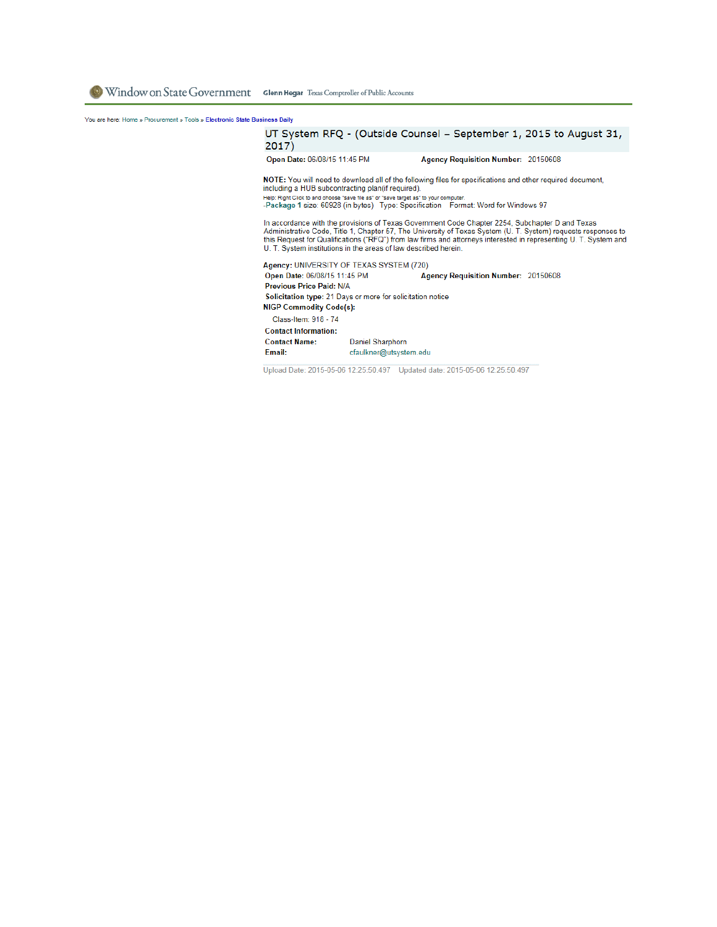You are here: Home » Procurement » Tools » Electronic State Business Daily

## UT System RFQ - (Outside Counsel - September 1, 2015 to August 31,  $2017)$

Open Date: 06/08/15 11:45 PM Agency Requisition Number: 20150608

NOTE: You will need to download all of the following files for specifications and other required document, including a HUB subcontracting plan(if required). Help: Right Click to and choose "save file as" or "save target as" to your computer.<br>-Package 1 size: 60928 (in bytes) Type: Specification Format: Word for Windows 97

In accordance with the provisions of Texas Government Code Chapter 2254, Subchapter D and Texas Administrative Code, Title 1, Chapter 57, The University of Texas System (U.T. System) requests responses to<br>this Request for Qualifications ("RFQ") from law firms and attorneys interested in representing U.T. System and U. T. System institutions in the areas of law described herein.

Agency: UNIVERSITY OF TEXAS SYSTEM (720) Open Date: 06/08/15 11:45 PM **Agency Requisition Number: 20150608** Previous Price Paid: N/A Solicitation type: 21 Days or more for solicitation notice **NIGP Commodity Code(s):** Class-Item: 918 - 74 **Contact Information: Contact Name:** Daniel Sharphorn Email: cfaulkner@utsystem.edu

Upload Date: 2015-05-06 12:25:50.497 Updated date: 2015-05-06 12:25:50.497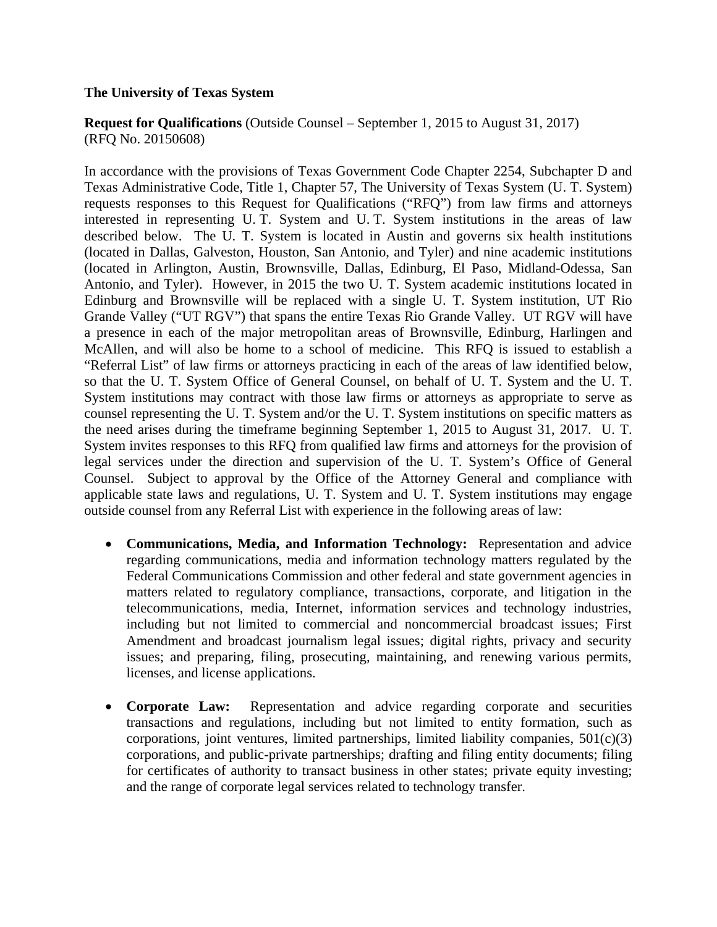## **The University of Texas System**

**Request for Qualifications** (Outside Counsel – September 1, 2015 to August 31, 2017) (RFQ No. 20150608)

In accordance with the provisions of Texas Government Code Chapter 2254, Subchapter D and Texas Administrative Code, Title 1, Chapter 57, The University of Texas System (U. T. System) requests responses to this Request for Qualifications ("RFQ") from law firms and attorneys interested in representing U. T. System and U. T. System institutions in the areas of law described below. The U. T. System is located in Austin and governs six health institutions (located in Dallas, Galveston, Houston, San Antonio, and Tyler) and nine academic institutions (located in Arlington, Austin, Brownsville, Dallas, Edinburg, El Paso, Midland-Odessa, San Antonio, and Tyler). However, in 2015 the two U. T. System academic institutions located in Edinburg and Brownsville will be replaced with a single U. T. System institution, UT Rio Grande Valley ("UT RGV") that spans the entire Texas Rio Grande Valley. UT RGV will have a presence in each of the major metropolitan areas of Brownsville, Edinburg, Harlingen and McAllen, and will also be home to a school of medicine. This RFQ is issued to establish a "Referral List" of law firms or attorneys practicing in each of the areas of law identified below, so that the U. T. System Office of General Counsel, on behalf of U. T. System and the U. T. System institutions may contract with those law firms or attorneys as appropriate to serve as counsel representing the U. T. System and/or the U. T. System institutions on specific matters as the need arises during the timeframe beginning September 1, 2015 to August 31, 2017. U. T. System invites responses to this RFQ from qualified law firms and attorneys for the provision of legal services under the direction and supervision of the U. T. System's Office of General Counsel. Subject to approval by the Office of the Attorney General and compliance with applicable state laws and regulations, U. T. System and U. T. System institutions may engage outside counsel from any Referral List with experience in the following areas of law:

- **Communications, Media, and Information Technology:** Representation and advice regarding communications, media and information technology matters regulated by the Federal Communications Commission and other federal and state government agencies in matters related to regulatory compliance, transactions, corporate, and litigation in the telecommunications, media, Internet, information services and technology industries, including but not limited to commercial and noncommercial broadcast issues; First Amendment and broadcast journalism legal issues; digital rights, privacy and security issues; and preparing, filing, prosecuting, maintaining, and renewing various permits, licenses, and license applications.
- **Corporate Law:** Representation and advice regarding corporate and securities transactions and regulations, including but not limited to entity formation, such as corporations, joint ventures, limited partnerships, limited liability companies,  $501(c)(3)$ corporations, and public-private partnerships; drafting and filing entity documents; filing for certificates of authority to transact business in other states; private equity investing; and the range of corporate legal services related to technology transfer.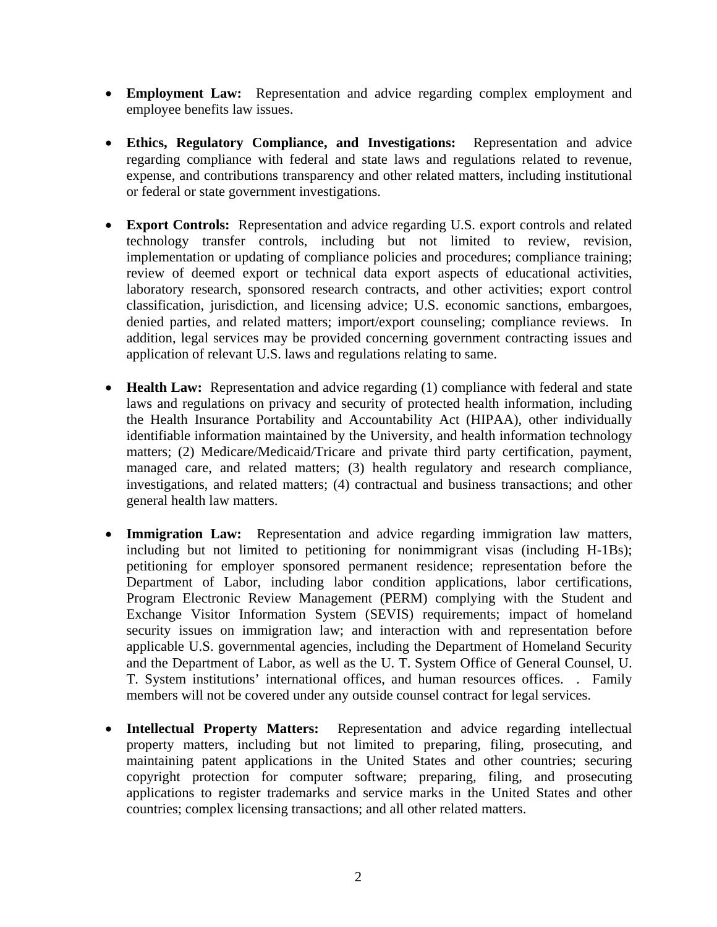- **Employment Law:** Representation and advice regarding complex employment and employee benefits law issues.
- **Ethics, Regulatory Compliance, and Investigations:** Representation and advice regarding compliance with federal and state laws and regulations related to revenue, expense, and contributions transparency and other related matters, including institutional or federal or state government investigations.
- **Export Controls:** Representation and advice regarding U.S. export controls and related technology transfer controls, including but not limited to review, revision, implementation or updating of compliance policies and procedures; compliance training; review of deemed export or technical data export aspects of educational activities, laboratory research, sponsored research contracts, and other activities; export control classification, jurisdiction, and licensing advice; U.S. economic sanctions, embargoes, denied parties, and related matters; import/export counseling; compliance reviews. In addition, legal services may be provided concerning government contracting issues and application of relevant U.S. laws and regulations relating to same.
- **Health Law:** Representation and advice regarding (1) compliance with federal and state laws and regulations on privacy and security of protected health information, including the Health Insurance Portability and Accountability Act (HIPAA), other individually identifiable information maintained by the University, and health information technology matters; (2) Medicare/Medicaid/Tricare and private third party certification, payment, managed care, and related matters; (3) health regulatory and research compliance, investigations, and related matters; (4) contractual and business transactions; and other general health law matters.
- **Immigration Law:** Representation and advice regarding immigration law matters, including but not limited to petitioning for nonimmigrant visas (including H-1Bs); petitioning for employer sponsored permanent residence; representation before the Department of Labor, including labor condition applications, labor certifications, Program Electronic Review Management (PERM) complying with the Student and Exchange Visitor Information System (SEVIS) requirements; impact of homeland security issues on immigration law; and interaction with and representation before applicable U.S. governmental agencies, including the Department of Homeland Security and the Department of Labor, as well as the U. T. System Office of General Counsel, U. T. System institutions' international offices, and human resources offices. . Family members will not be covered under any outside counsel contract for legal services.
- **Intellectual Property Matters:** Representation and advice regarding intellectual property matters, including but not limited to preparing, filing, prosecuting, and maintaining patent applications in the United States and other countries; securing copyright protection for computer software; preparing, filing, and prosecuting applications to register trademarks and service marks in the United States and other countries; complex licensing transactions; and all other related matters.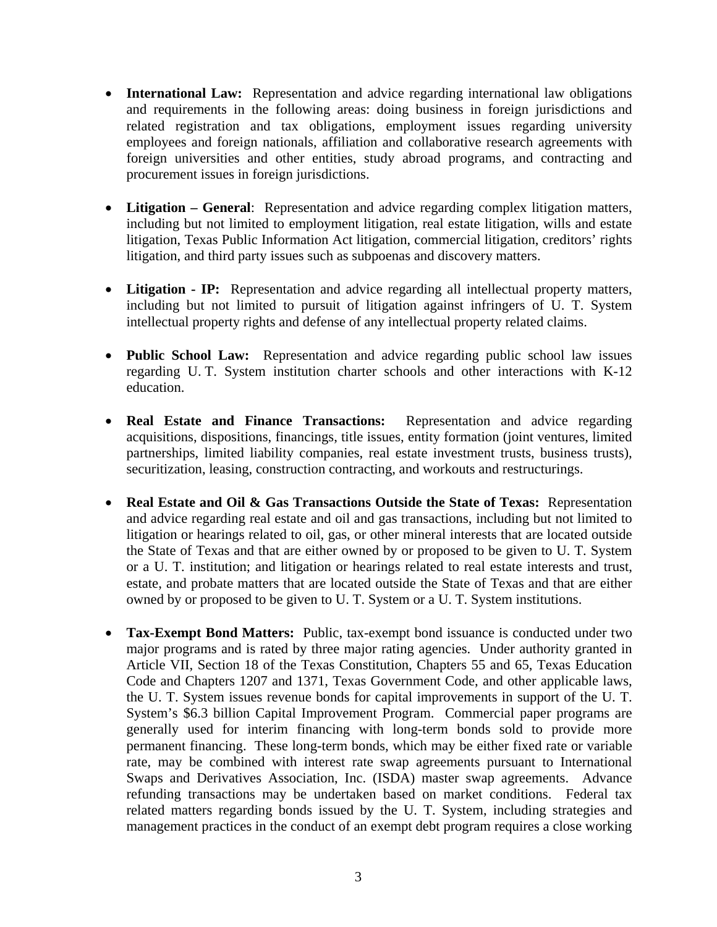- **International Law:** Representation and advice regarding international law obligations and requirements in the following areas: doing business in foreign jurisdictions and related registration and tax obligations, employment issues regarding university employees and foreign nationals, affiliation and collaborative research agreements with foreign universities and other entities, study abroad programs, and contracting and procurement issues in foreign jurisdictions.
- **Litigation General**: Representation and advice regarding complex litigation matters, including but not limited to employment litigation, real estate litigation, wills and estate litigation, Texas Public Information Act litigation, commercial litigation, creditors' rights litigation, and third party issues such as subpoenas and discovery matters.
- **Litigation IP:** Representation and advice regarding all intellectual property matters, including but not limited to pursuit of litigation against infringers of U. T. System intellectual property rights and defense of any intellectual property related claims.
- **Public School Law:** Representation and advice regarding public school law issues regarding U. T. System institution charter schools and other interactions with K-12 education.
- **Real Estate and Finance Transactions:** Representation and advice regarding acquisitions, dispositions, financings, title issues, entity formation (joint ventures, limited partnerships, limited liability companies, real estate investment trusts, business trusts), securitization, leasing, construction contracting, and workouts and restructurings.
- **Real Estate and Oil & Gas Transactions Outside the State of Texas:** Representation and advice regarding real estate and oil and gas transactions, including but not limited to litigation or hearings related to oil, gas, or other mineral interests that are located outside the State of Texas and that are either owned by or proposed to be given to U. T. System or a U. T. institution; and litigation or hearings related to real estate interests and trust, estate, and probate matters that are located outside the State of Texas and that are either owned by or proposed to be given to U. T. System or a U. T. System institutions.
- **Tax-Exempt Bond Matters:** Public, tax-exempt bond issuance is conducted under two major programs and is rated by three major rating agencies. Under authority granted in Article VII, Section 18 of the Texas Constitution, Chapters 55 and 65, Texas Education Code and Chapters 1207 and 1371, Texas Government Code, and other applicable laws, the U. T. System issues revenue bonds for capital improvements in support of the U. T. System's \$6.3 billion Capital Improvement Program. Commercial paper programs are generally used for interim financing with long-term bonds sold to provide more permanent financing. These long-term bonds, which may be either fixed rate or variable rate, may be combined with interest rate swap agreements pursuant to International Swaps and Derivatives Association, Inc. (ISDA) master swap agreements. Advance refunding transactions may be undertaken based on market conditions. Federal tax related matters regarding bonds issued by the U. T. System, including strategies and management practices in the conduct of an exempt debt program requires a close working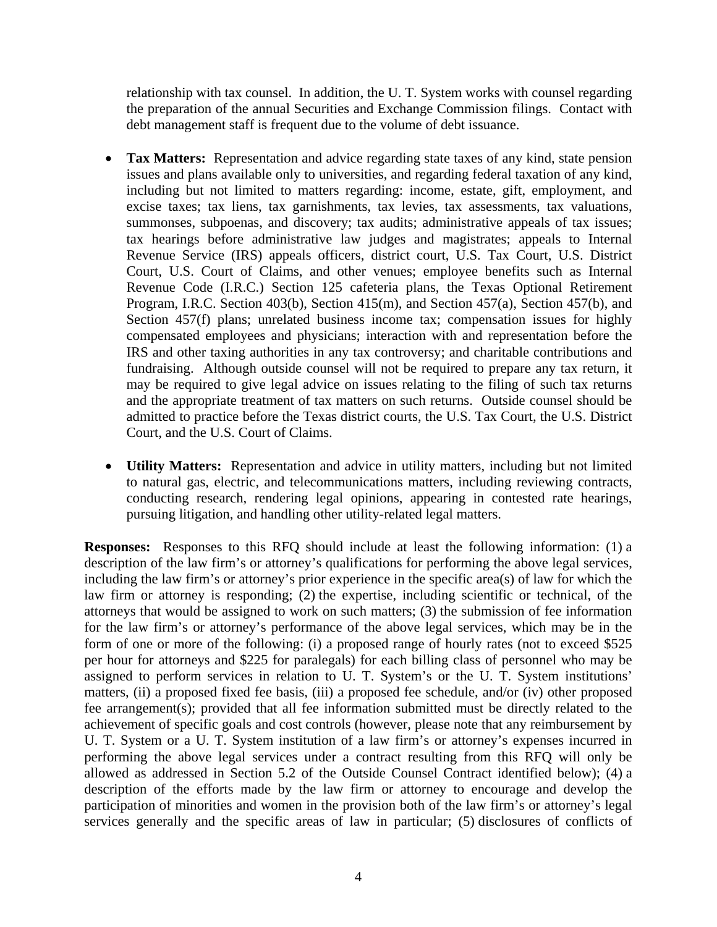relationship with tax counsel. In addition, the U. T. System works with counsel regarding the preparation of the annual Securities and Exchange Commission filings. Contact with debt management staff is frequent due to the volume of debt issuance.

- **Tax Matters:** Representation and advice regarding state taxes of any kind, state pension issues and plans available only to universities, and regarding federal taxation of any kind, including but not limited to matters regarding: income, estate, gift, employment, and excise taxes; tax liens, tax garnishments, tax levies, tax assessments, tax valuations, summonses, subpoenas, and discovery; tax audits; administrative appeals of tax issues; tax hearings before administrative law judges and magistrates; appeals to Internal Revenue Service (IRS) appeals officers, district court, U.S. Tax Court, U.S. District Court, U.S. Court of Claims, and other venues; employee benefits such as Internal Revenue Code (I.R.C.) Section 125 cafeteria plans, the Texas Optional Retirement Program, I.R.C. Section 403(b), Section 415(m), and Section 457(a), Section 457(b), and Section 457(f) plans; unrelated business income tax; compensation issues for highly compensated employees and physicians; interaction with and representation before the IRS and other taxing authorities in any tax controversy; and charitable contributions and fundraising. Although outside counsel will not be required to prepare any tax return, it may be required to give legal advice on issues relating to the filing of such tax returns and the appropriate treatment of tax matters on such returns. Outside counsel should be admitted to practice before the Texas district courts, the U.S. Tax Court, the U.S. District Court, and the U.S. Court of Claims.
- **Utility Matters:** Representation and advice in utility matters, including but not limited to natural gas, electric, and telecommunications matters, including reviewing contracts, conducting research, rendering legal opinions, appearing in contested rate hearings, pursuing litigation, and handling other utility-related legal matters.

**Responses:** Responses to this RFQ should include at least the following information: (1) a description of the law firm's or attorney's qualifications for performing the above legal services, including the law firm's or attorney's prior experience in the specific area(s) of law for which the law firm or attorney is responding; (2) the expertise, including scientific or technical, of the attorneys that would be assigned to work on such matters; (3) the submission of fee information for the law firm's or attorney's performance of the above legal services, which may be in the form of one or more of the following: (i) a proposed range of hourly rates (not to exceed \$525 per hour for attorneys and \$225 for paralegals) for each billing class of personnel who may be assigned to perform services in relation to U. T. System's or the U. T. System institutions' matters, (ii) a proposed fixed fee basis, (iii) a proposed fee schedule, and/or (iv) other proposed fee arrangement(s); provided that all fee information submitted must be directly related to the achievement of specific goals and cost controls (however, please note that any reimbursement by U. T. System or a U. T. System institution of a law firm's or attorney's expenses incurred in performing the above legal services under a contract resulting from this RFQ will only be allowed as addressed in Section 5.2 of the Outside Counsel Contract identified below); (4) a description of the efforts made by the law firm or attorney to encourage and develop the participation of minorities and women in the provision both of the law firm's or attorney's legal services generally and the specific areas of law in particular; (5) disclosures of conflicts of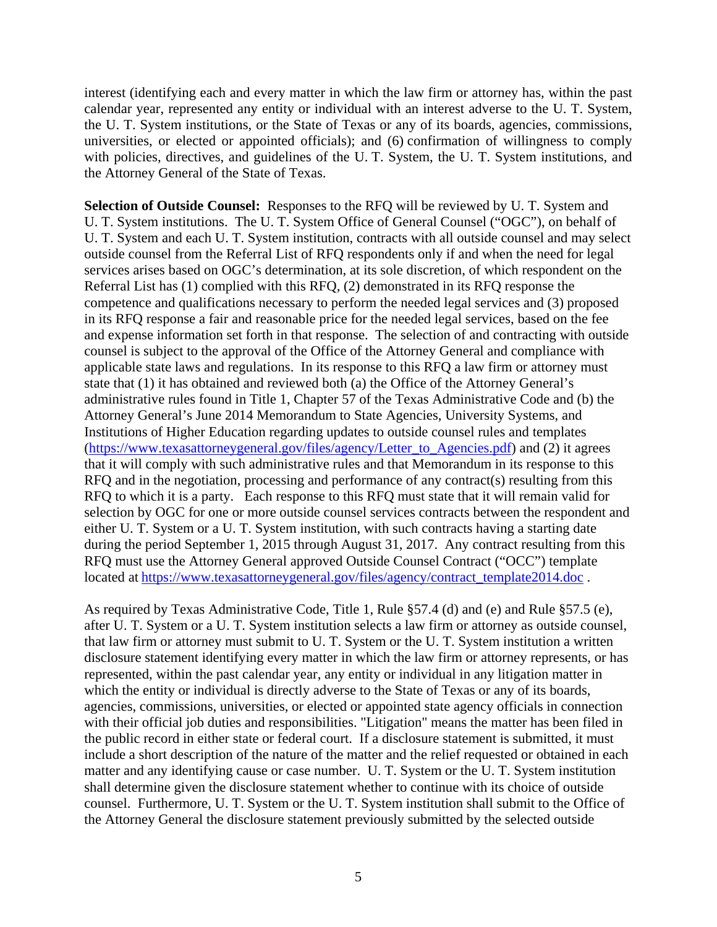interest (identifying each and every matter in which the law firm or attorney has, within the past calendar year, represented any entity or individual with an interest adverse to the U. T. System, the U. T. System institutions, or the State of Texas or any of its boards, agencies, commissions, universities, or elected or appointed officials); and (6) confirmation of willingness to comply with policies, directives, and guidelines of the U. T. System, the U. T. System institutions, and the Attorney General of the State of Texas.

**Selection of Outside Counsel:** Responses to the RFQ will be reviewed by U. T. System and U. T. System institutions. The U. T. System Office of General Counsel ("OGC"), on behalf of U. T. System and each U. T. System institution, contracts with all outside counsel and may select outside counsel from the Referral List of RFQ respondents only if and when the need for legal services arises based on OGC's determination, at its sole discretion, of which respondent on the Referral List has (1) complied with this RFQ, (2) demonstrated in its RFQ response the competence and qualifications necessary to perform the needed legal services and (3) proposed in its RFQ response a fair and reasonable price for the needed legal services, based on the fee and expense information set forth in that response. The selection of and contracting with outside counsel is subject to the approval of the Office of the Attorney General and compliance with applicable state laws and regulations. In its response to this RFQ a law firm or attorney must state that (1) it has obtained and reviewed both (a) the Office of the Attorney General's administrative rules found in Title 1, Chapter 57 of the Texas Administrative Code and (b) the Attorney General's June 2014 Memorandum to State Agencies, University Systems, and Institutions of Higher Education regarding updates to outside counsel rules and templates (https://www.texasattorneygeneral.gov/files/agency/Letter\_to\_Agencies.pdf) and (2) it agrees that it will comply with such administrative rules and that Memorandum in its response to this RFQ and in the negotiation, processing and performance of any contract(s) resulting from this RFQ to which it is a party. Each response to this RFQ must state that it will remain valid for selection by OGC for one or more outside counsel services contracts between the respondent and either U. T. System or a U. T. System institution, with such contracts having a starting date during the period September 1, 2015 through August 31, 2017. Any contract resulting from this RFQ must use the Attorney General approved Outside Counsel Contract ("OCC") template located at https://www.texasattorneygeneral.gov/files/agency/contract\_template2014.doc.

As required by Texas Administrative Code, Title 1, Rule §57.4 (d) and (e) and Rule §57.5 (e), after U. T. System or a U. T. System institution selects a law firm or attorney as outside counsel, that law firm or attorney must submit to U. T. System or the U. T. System institution a written disclosure statement identifying every matter in which the law firm or attorney represents, or has represented, within the past calendar year, any entity or individual in any litigation matter in which the entity or individual is directly adverse to the State of Texas or any of its boards, agencies, commissions, universities, or elected or appointed state agency officials in connection with their official job duties and responsibilities. "Litigation" means the matter has been filed in the public record in either state or federal court. If a disclosure statement is submitted, it must include a short description of the nature of the matter and the relief requested or obtained in each matter and any identifying cause or case number. U. T. System or the U. T. System institution shall determine given the disclosure statement whether to continue with its choice of outside counsel. Furthermore, U. T. System or the U. T. System institution shall submit to the Office of the Attorney General the disclosure statement previously submitted by the selected outside